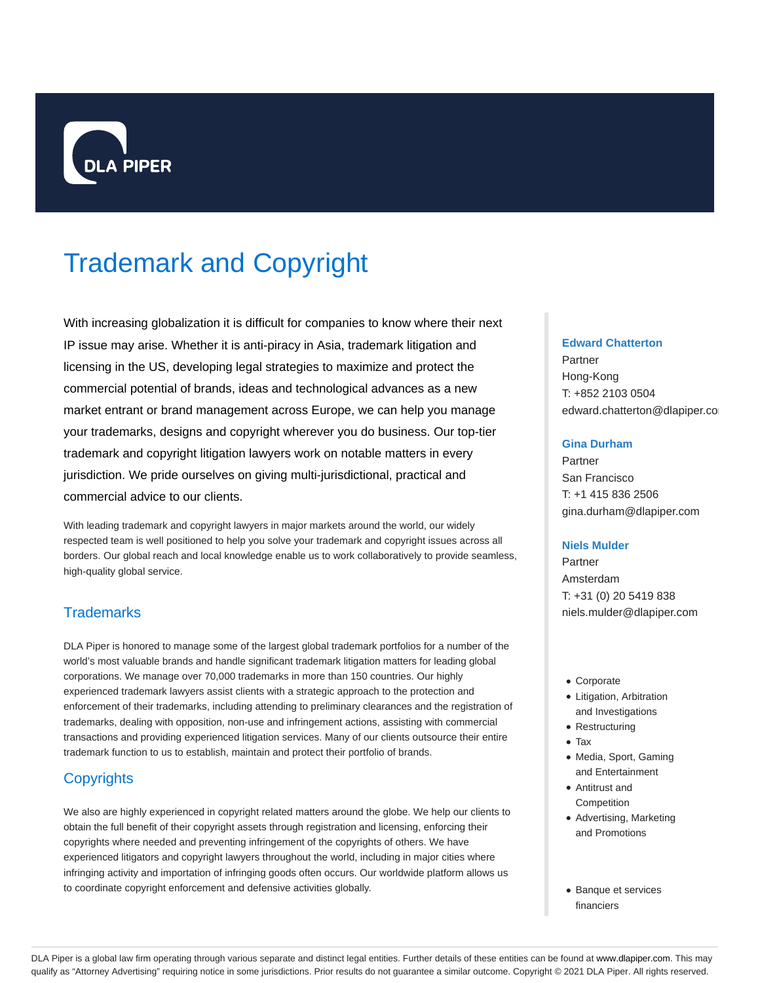

# Trademark and Copyright

With increasing globalization it is difficult for companies to know where their next IP issue may arise. Whether it is anti-piracy in Asia, trademark litigation and licensing in the US, developing legal strategies to maximize and protect the commercial potential of brands, ideas and technological advances as a new market entrant or brand management across Europe, we can help you manage your trademarks, designs and copyright wherever you do business. Our top-tier trademark and copyright litigation lawyers work on notable matters in every jurisdiction. We pride ourselves on giving multi-jurisdictional, practical and commercial advice to our clients.

With leading trademark and copyright lawyers in major markets around the world, our widely respected team is well positioned to help you solve your trademark and copyright issues across all borders. Our global reach and local knowledge enable us to work collaboratively to provide seamless, high-quality global service.

# **Trademarks**

DLA Piper is honored to manage some of the largest global trademark portfolios for a number of the world's most valuable brands and handle significant trademark litigation matters for leading global corporations. We manage over 70,000 trademarks in more than 150 countries. Our highly experienced trademark lawyers assist clients with a strategic approach to the protection and enforcement of their trademarks, including attending to preliminary clearances and the registration of trademarks, dealing with opposition, non-use and infringement actions, assisting with commercial transactions and providing experienced litigation services. Many of our clients outsource their entire trademark function to us to establish, maintain and protect their portfolio of brands.

# **Copyrights**

We also are highly experienced in copyright related matters around the globe. We help our clients to obtain the full benefit of their copyright assets through registration and licensing, enforcing their copyrights where needed and preventing infringement of the copyrights of others. We have experienced litigators and copyright lawyers throughout the world, including in major cities where infringing activity and importation of infringing goods often occurs. Our worldwide platform allows us to coordinate copyright enforcement and defensive activities globally.

#### **Edward Chatterton**

Partner Hong-Kong T: +852 2103 0504 edward.chatterton@dlapiper.co

### **Gina Durham**

Partner San Francisco T: +1 415 836 2506 gina.durham@dlapiper.com

### **Niels Mulder**

Partner Amsterdam T: +31 (0) 20 5419 838 niels.mulder@dlapiper.com

- Corporate
- Litigation, Arbitration and Investigations
- Restructuring
- Tax
- Media, Sport, Gaming and Entertainment
- Antitrust and **Competition**
- Advertising, Marketing and Promotions
- Banque et services financiers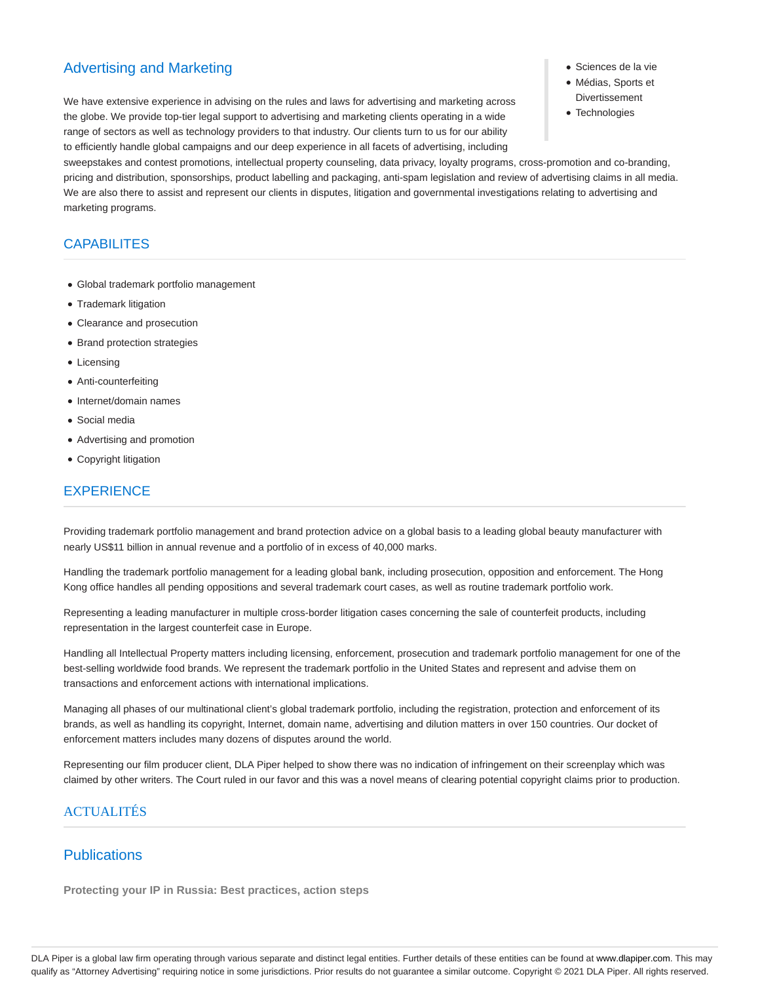# Advertising and Marketing

We have extensive experience in advising on the rules and laws for advertising and marketing across the globe. We provide top-tier legal support to advertising and marketing clients operating in a wide range of sectors as well as technology providers to that industry. Our clients turn to us for our ability to efficiently handle global campaigns and our deep experience in all facets of advertising, including

- Sciences de la vie
- Médias, Sports et
- Divertissement
- Technologies

sweepstakes and contest promotions, intellectual property counseling, data privacy, loyalty programs, cross-promotion and co-branding, pricing and distribution, sponsorships, product labelling and packaging, anti-spam legislation and review of advertising claims in all media. We are also there to assist and represent our clients in disputes, litigation and governmental investigations relating to advertising and marketing programs.

# **CAPABILITES**

- Global trademark portfolio management
- Trademark litigation
- Clearance and prosecution
- Brand protection strategies
- Licensing
- Anti-counterfeiting
- Internet/domain names
- Social media
- Advertising and promotion
- Copyright litigation

# **EXPERIENCE**

Providing trademark portfolio management and brand protection advice on a global basis to a leading global beauty manufacturer with nearly US\$11 billion in annual revenue and a portfolio of in excess of 40,000 marks.

Handling the trademark portfolio management for a leading global bank, including prosecution, opposition and enforcement. The Hong Kong office handles all pending oppositions and several trademark court cases, as well as routine trademark portfolio work.

Representing a leading manufacturer in multiple cross-border litigation cases concerning the sale of counterfeit products, including representation in the largest counterfeit case in Europe.

Handling all Intellectual Property matters including licensing, enforcement, prosecution and trademark portfolio management for one of the best-selling worldwide food brands. We represent the trademark portfolio in the United States and represent and advise them on transactions and enforcement actions with international implications.

Managing all phases of our multinational client's global trademark portfolio, including the registration, protection and enforcement of its brands, as well as handling its copyright, Internet, domain name, advertising and dilution matters in over 150 countries. Our docket of enforcement matters includes many dozens of disputes around the world.

Representing our film producer client, DLA Piper helped to show there was no indication of infringement on their screenplay which was claimed by other writers. The Court ruled in our favor and this was a novel means of clearing potential copyright claims prior to production.

# **ACTUALITÉS**

# **Publications**

**Protecting your IP in Russia: Best practices, action steps**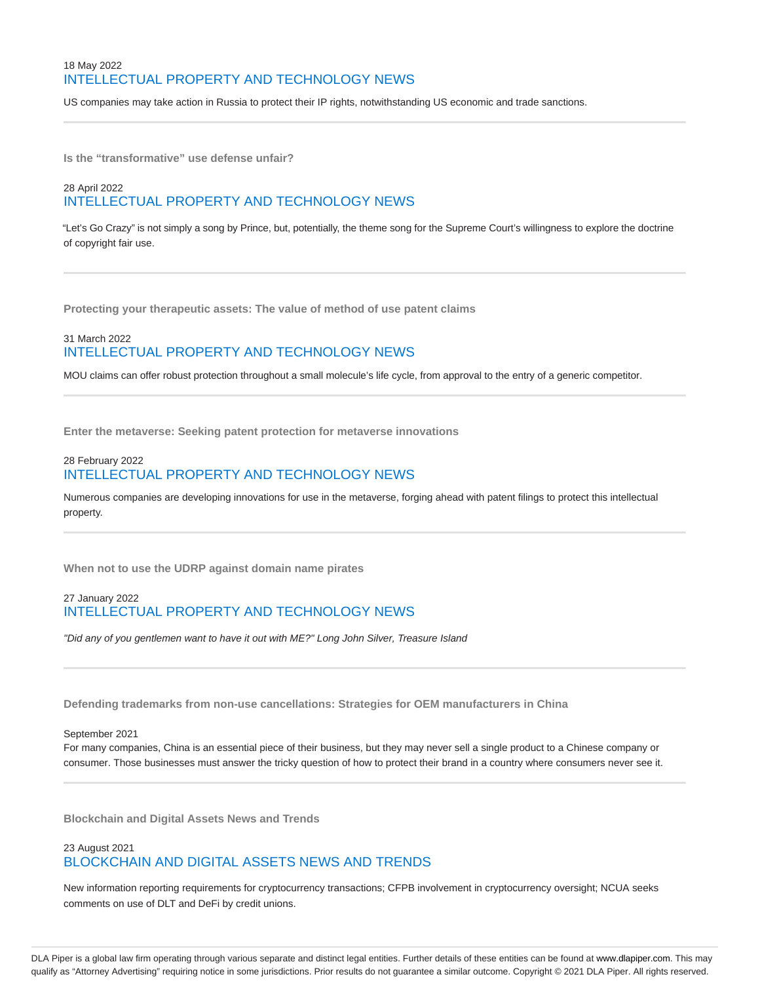# 18 May 2022 INTELLECTUAL PROPERTY AND TECHNOLOGY NEWS

US companies may take action in Russia to protect their IP rights, notwithstanding US economic and trade sanctions.

**Is the "transformative" use defense unfair?**

# 28 April 2022 INTELLECTUAL PROPERTY AND TECHNOLOGY NEWS

"Let's Go Crazy" is not simply a song by Prince, but, potentially, the theme song for the Supreme Court's willingness to explore the doctrine of copyright fair use.

**Protecting your therapeutic assets: The value of method of use patent claims**

## 31 March 2022 INTELLECTUAL PROPERTY AND TECHNOLOGY NEWS

MOU claims can offer robust protection throughout a small molecule's life cycle, from approval to the entry of a generic competitor.

**Enter the metaverse: Seeking patent protection for metaverse innovations**

### 28 February 2022 INTELLECTUAL PROPERTY AND TECHNOLOGY NEWS

Numerous companies are developing innovations for use in the metaverse, forging ahead with patent filings to protect this intellectual property.

**When not to use the UDRP against domain name pirates**

### 27 January 2022 INTELLECTUAL PROPERTY AND TECHNOLOGY NEWS

"Did any of you gentlemen want to have it out with ME?" Long John Silver, Treasure Island

**Defending trademarks from non-use cancellations: Strategies for OEM manufacturers in China**

#### September 2021

For many companies, China is an essential piece of their business, but they may never sell a single product to a Chinese company or consumer. Those businesses must answer the tricky question of how to protect their brand in a country where consumers never see it.

**Blockchain and Digital Assets News and Trends**

### 23 August 2021 BLOCKCHAIN AND DIGITAL ASSETS NEWS AND TRENDS

New information reporting requirements for cryptocurrency transactions; CFPB involvement in cryptocurrency oversight; NCUA seeks comments on use of DLT and DeFi by credit unions.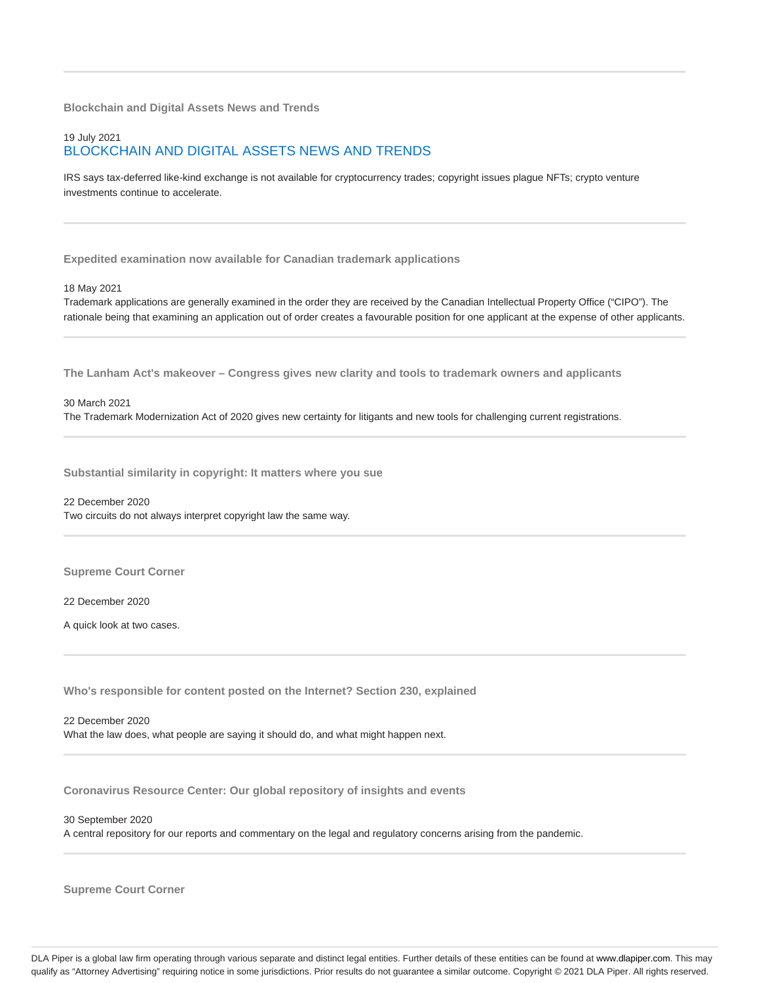**Blockchain and Digital Assets News and Trends**

### 19 July 2021 BLOCKCHAIN AND DIGITAL ASSETS NEWS AND TRENDS

IRS says tax-deferred like-kind exchange is not available for cryptocurrency trades; copyright issues plague NFTs; crypto venture investments continue to accelerate.

**Expedited examination now available for Canadian trademark applications**

18 May 2021

Trademark applications are generally examined in the order they are received by the Canadian Intellectual Property Office ("CIPO"). The rationale being that examining an application out of order creates a favourable position for one applicant at the expense of other applicants.

**The Lanham Act's makeover – Congress gives new clarity and tools to trademark owners and applicants**

# 30 March 2021 The Trademark Modernization Act of 2020 gives new certainty for litigants and new tools for challenging current registrations.

**Substantial similarity in copyright: It matters where you sue**

22 December 2020 Two circuits do not always interpret copyright law the same way.

**Supreme Court Corner**

22 December 2020

A quick look at two cases.

**Who's responsible for content posted on the Internet? Section 230, explained**

22 December 2020 What the law does, what people are saying it should do, and what might happen next.

**Coronavirus Resource Center: Our global repository of insights and events**

30 September 2020

A central repository for our reports and commentary on the legal and regulatory concerns arising from the pandemic.

**Supreme Court Corner**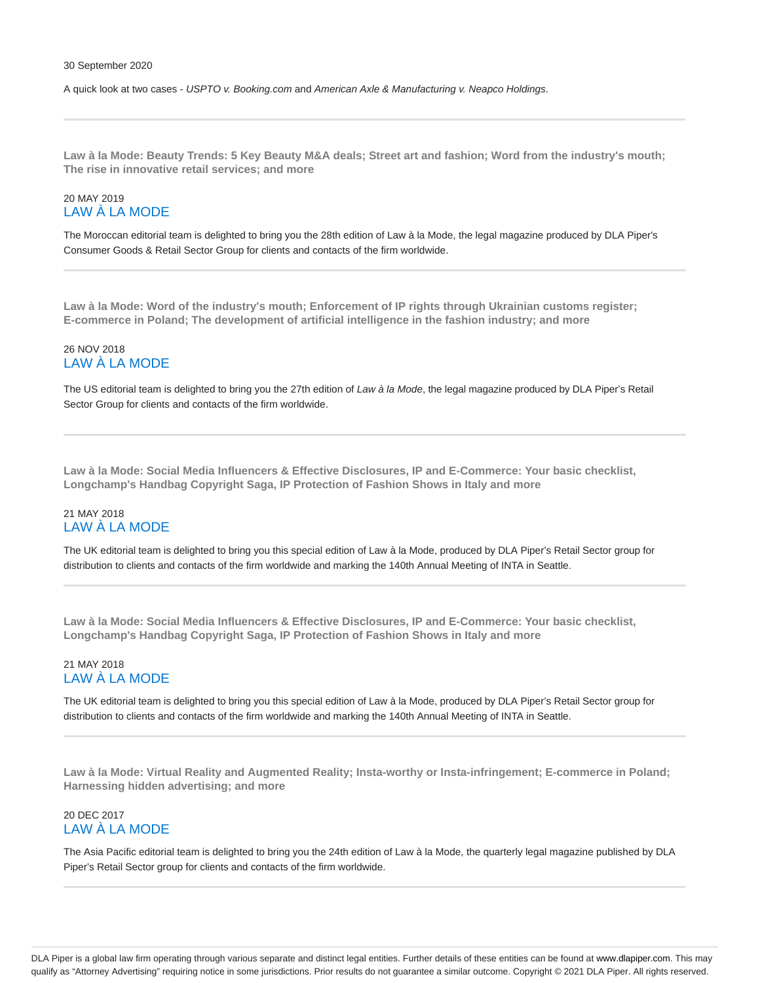A quick look at two cases - USPTO v. Booking.com and American Axle & Manufacturing v. Neapco Holdings.

**Law à la Mode: Beauty Trends: 5 Key Beauty M&A deals; Street art and fashion; Word from the industry's mouth; The rise in innovative retail services; and more**

# 20 MAY 2019 LAW À LA MODE

The Moroccan editorial team is delighted to bring you the 28th edition of Law à la Mode, the legal magazine produced by DLA Piper's Consumer Goods & Retail Sector Group for clients and contacts of the firm worldwide.

**Law à la Mode: Word of the industry's mouth; Enforcement of IP rights through Ukrainian customs register; E-commerce in Poland; The development of artificial intelligence in the fashion industry; and more**

### 26 NOV 2018 LAW À LA MODE

The US editorial team is delighted to bring you the 27th edition of Law à la Mode, the legal magazine produced by DLA Piper's Retail Sector Group for clients and contacts of the firm worldwide.

**Law à la Mode: Social Media Influencers & Effective Disclosures, IP and E-Commerce: Your basic checklist, Longchamp's Handbag Copyright Saga, IP Protection of Fashion Shows in Italy and more**

### 21 MAY 2018 LAW À LA MODE

The UK editorial team is delighted to bring you this special edition of Law à la Mode, produced by DLA Piper's Retail Sector group for distribution to clients and contacts of the firm worldwide and marking the 140th Annual Meeting of INTA in Seattle.

**Law à la Mode: Social Media Influencers & Effective Disclosures, IP and E-Commerce: Your basic checklist, Longchamp's Handbag Copyright Saga, IP Protection of Fashion Shows in Italy and more**

### 21 MAY 2018 LAW À LA MODE

The UK editorial team is delighted to bring you this special edition of Law à la Mode, produced by DLA Piper's Retail Sector group for distribution to clients and contacts of the firm worldwide and marking the 140th Annual Meeting of INTA in Seattle.

**Law à la Mode: Virtual Reality and Augmented Reality; Insta-worthy or Insta-infringement; E-commerce in Poland; Harnessing hidden advertising; and more**

### 20 DEC 2017 LAW À LA MODE

The Asia Pacific editorial team is delighted to bring you the 24th edition of Law à la Mode, the quarterly legal magazine published by DLA Piper's Retail Sector group for clients and contacts of the firm worldwide.